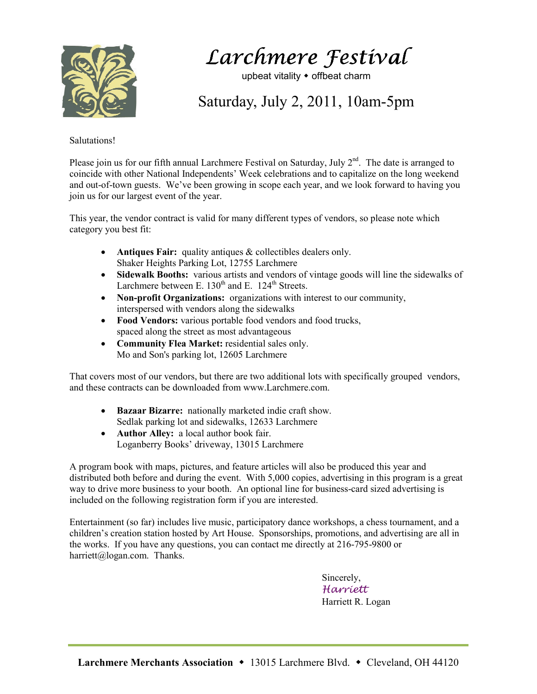

Larchmere Festival

upbeat vitality  $\bullet$  offbeat charm

Saturday, July 2, 2011, 10am-5pm

## Salutations!

Please join us for our fifth annual Larchmere Festival on Saturday, July  $2^{nd}$ . The date is arranged to coincide with other National Independents' Week celebrations and to capitalize on the long weekend and out-of-town guests. We've been growing in scope each year, and we look forward to having you join us for our largest event of the year.

This year, the vendor contract is valid for many different types of vendors, so please note which category you best fit:

- **Antiques Fair:** quality antiques & collectibles dealers only. Shaker Heights Parking Lot, 12755 Larchmere
- **Sidewalk Booths:** various artists and vendors of vintage goods will line the sidewalks of Larchmere between E.  $130<sup>th</sup>$  and E.  $124<sup>th</sup>$  Streets.
- **Non-profit Organizations:** organizations with interest to our community, interspersed with vendors along the sidewalks
- **Food Vendors:** various portable food vendors and food trucks, spaced along the street as most advantageous
- **Community Flea Market:** residential sales only. Mo and Son's parking lot, 12605 Larchmere

That covers most of our vendors, but there are two additional lots with specifically grouped vendors, and these contracts can be downloaded from www.Larchmere.com.

- **Bazaar Bizarre:** nationally marketed indie craft show. Sedlak parking lot and sidewalks, 12633 Larchmere
- **Author Alley:** a local author book fair. Loganberry Books' driveway, 13015 Larchmere

A program book with maps, pictures, and feature articles will also be produced this year and distributed both before and during the event. With 5,000 copies, advertising in this program is a great way to drive more business to your booth. An optional line for business-card sized advertising is included on the following registration form if you are interested.

Entertainment (so far) includes live music, participatory dance workshops, a chess tournament, and a children's creation station hosted by Art House. Sponsorships, promotions, and advertising are all in the works. If you have any questions, you can contact me directly at 216-795-9800 or harriett@logan.com. Thanks.

> Sincerely, Harriett Harriett R. Logan